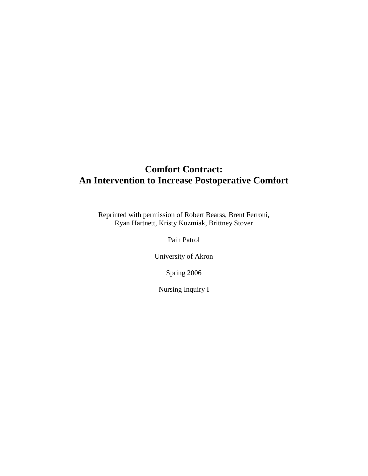# **Comfort Contract: An Intervention to Increase Postoperative Comfort**

Reprinted with permission of Robert Bearss, Brent Ferroni, Ryan Hartnett, Kristy Kuzmiak, Brittney Stover

Pain Patrol

University of Akron

Spring 2006

Nursing Inquiry I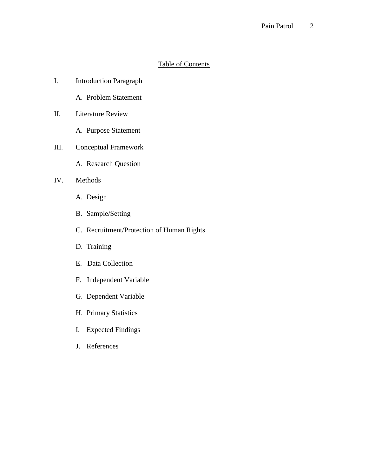### Pain Patrol 2

# Table of Contents

- I. Introduction Paragraph
	- A. Problem Statement
- II. Literature Review
	- A. Purpose Statement
- III. Conceptual Framework
	- A. Research Question
- IV. Methods
	- A. Design
	- B. Sample/Setting
	- C. Recruitment/Protection of Human Rights
	- D. Training
	- E. Data Collection
	- F. Independent Variable
	- G. Dependent Variable
	- H. Primary Statistics
	- I. Expected Findings
	- J. References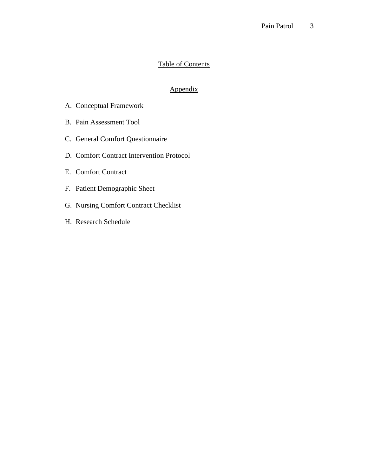### Pain Patrol 3

# Table of Contents

# Appendix

- A. Conceptual Framework
- B. Pain Assessment Tool
- C. General Comfort Questionnaire
- D. Comfort Contract Intervention Protocol
- E. Comfort Contract
- F. Patient Demographic Sheet
- G. Nursing Comfort Contract Checklist
- H. Research Schedule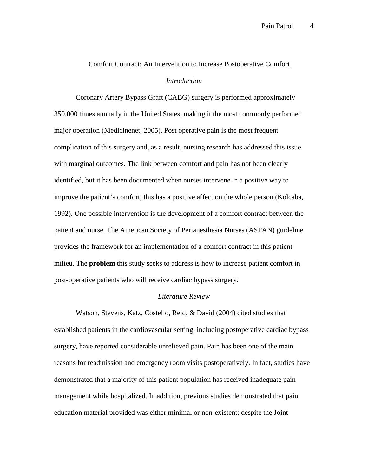# Comfort Contract: An Intervention to Increase Postoperative Comfort *Introduction*

Coronary Artery Bypass Graft (CABG) surgery is performed approximately 350,000 times annually in the United States, making it the most commonly performed major operation (Medicinenet, 2005). Post operative pain is the most frequent complication of this surgery and, as a result, nursing research has addressed this issue with marginal outcomes. The link between comfort and pain has not been clearly identified, but it has been documented when nurses intervene in a positive way to improve the patient's comfort, this has a positive affect on the whole person (Kolcaba, 1992). One possible intervention is the development of a comfort contract between the patient and nurse. The American Society of Perianesthesia Nurses (ASPAN) guideline provides the framework for an implementation of a comfort contract in this patient milieu. The **problem** this study seeks to address is how to increase patient comfort in post-operative patients who will receive cardiac bypass surgery.

### *Literature Review*

Watson, Stevens, Katz, Costello, Reid, & David (2004) cited studies that established patients in the cardiovascular setting, including postoperative cardiac bypass surgery, have reported considerable unrelieved pain. Pain has been one of the main reasons for readmission and emergency room visits postoperatively. In fact, studies have demonstrated that a majority of this patient population has received inadequate pain management while hospitalized. In addition, previous studies demonstrated that pain education material provided was either minimal or non-existent; despite the Joint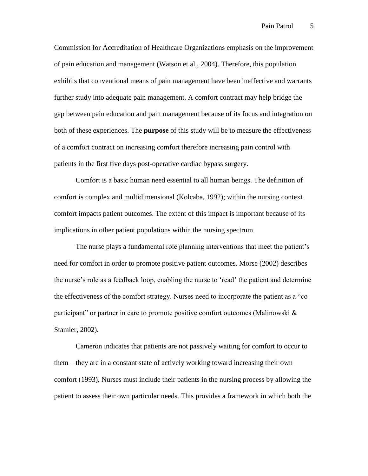Commission for Accreditation of Healthcare Organizations emphasis on the improvement of pain education and management (Watson et al., 2004). Therefore, this population exhibits that conventional means of pain management have been ineffective and warrants further study into adequate pain management. A comfort contract may help bridge the gap between pain education and pain management because of its focus and integration on both of these experiences. The **purpose** of this study will be to measure the effectiveness of a comfort contract on increasing comfort therefore increasing pain control with patients in the first five days post-operative cardiac bypass surgery.

Comfort is a basic human need essential to all human beings. The definition of comfort is complex and multidimensional (Kolcaba, 1992); within the nursing context comfort impacts patient outcomes. The extent of this impact is important because of its implications in other patient populations within the nursing spectrum.

The nurse plays a fundamental role planning interventions that meet the patient's need for comfort in order to promote positive patient outcomes. Morse (2002) describes the nurse's role as a feedback loop, enabling the nurse to 'read' the patient and determine the effectiveness of the comfort strategy. Nurses need to incorporate the patient as a "co participant" or partner in care to promote positive comfort outcomes (Malinowski & Stamler, 2002).

Cameron indicates that patients are not passively waiting for comfort to occur to them – they are in a constant state of actively working toward increasing their own comfort (1993). Nurses must include their patients in the nursing process by allowing the patient to assess their own particular needs. This provides a framework in which both the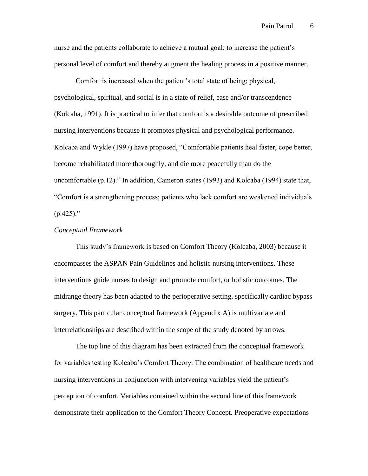nurse and the patients collaborate to achieve a mutual goal: to increase the patient's personal level of comfort and thereby augment the healing process in a positive manner.

Comfort is increased when the patient's total state of being; physical, psychological, spiritual, and social is in a state of relief, ease and/or transcendence (Kolcaba, 1991). It is practical to infer that comfort is a desirable outcome of prescribed nursing interventions because it promotes physical and psychological performance. Kolcaba and Wykle (1997) have proposed, "Comfortable patients heal faster, cope better, become rehabilitated more thoroughly, and die more peacefully than do the uncomfortable (p.12)." In addition, Cameron states (1993) and Kolcaba (1994) state that, "Comfort is a strengthening process; patients who lack comfort are weakened individuals  $(p.425)$ ."

### *Conceptual Framework*

This study's framework is based on Comfort Theory (Kolcaba, 2003) because it encompasses the ASPAN Pain Guidelines and holistic nursing interventions. These interventions guide nurses to design and promote comfort, or holistic outcomes. The midrange theory has been adapted to the perioperative setting, specifically cardiac bypass surgery. This particular conceptual framework (Appendix A) is multivariate and interrelationships are described within the scope of the study denoted by arrows.

The top line of this diagram has been extracted from the conceptual framework for variables testing Kolcaba's Comfort Theory. The combination of healthcare needs and nursing interventions in conjunction with intervening variables yield the patient's perception of comfort. Variables contained within the second line of this framework demonstrate their application to the Comfort Theory Concept. Preoperative expectations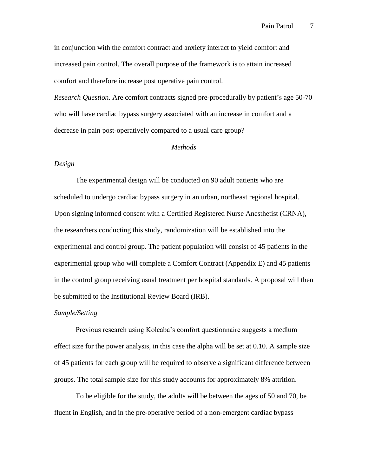in conjunction with the comfort contract and anxiety interact to yield comfort and increased pain control. The overall purpose of the framework is to attain increased comfort and therefore increase post operative pain control.

*Research Question.* Are comfort contracts signed pre-procedurally by patient's age 50-70 who will have cardiac bypass surgery associated with an increase in comfort and a decrease in pain post-operatively compared to a usual care group?

#### *Methods*

### *Design*

The experimental design will be conducted on 90 adult patients who are scheduled to undergo cardiac bypass surgery in an urban, northeast regional hospital. Upon signing informed consent with a Certified Registered Nurse Anesthetist (CRNA), the researchers conducting this study, randomization will be established into the experimental and control group. The patient population will consist of 45 patients in the experimental group who will complete a Comfort Contract (Appendix E) and 45 patients in the control group receiving usual treatment per hospital standards. A proposal will then be submitted to the Institutional Review Board (IRB).

#### *Sample/Setting*

Previous research using Kolcaba's comfort questionnaire suggests a medium effect size for the power analysis, in this case the alpha will be set at 0.10. A sample size of 45 patients for each group will be required to observe a significant difference between groups. The total sample size for this study accounts for approximately 8% attrition.

To be eligible for the study, the adults will be between the ages of 50 and 70, be fluent in English, and in the pre-operative period of a non-emergent cardiac bypass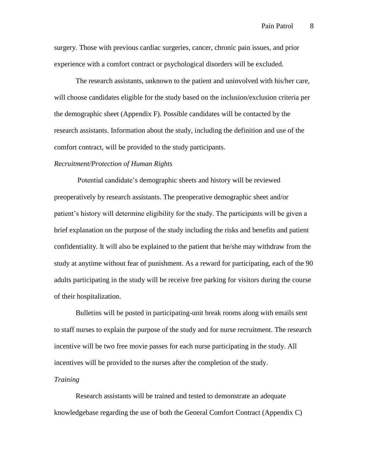surgery. Those with previous cardiac surgeries, cancer, chronic pain issues, and prior experience with a comfort contract or psychological disorders will be excluded.

The research assistants, unknown to the patient and uninvolved with his/her care, will choose candidates eligible for the study based on the inclusion/exclusion criteria per the demographic sheet (Appendix F). Possible candidates will be contacted by the research assistants. Information about the study, including the definition and use of the comfort contract, will be provided to the study participants.

#### *Recruitment/Protection of Human Rights*

Potential candidate's demographic sheets and history will be reviewed preoperatively by research assistants. The preoperative demographic sheet and/or patient's history will determine eligibility for the study. The participants will be given a brief explanation on the purpose of the study including the risks and benefits and patient confidentiality. It will also be explained to the patient that he/she may withdraw from the study at anytime without fear of punishment. As a reward for participating, each of the 90 adults participating in the study will be receive free parking for visitors during the course of their hospitalization.

Bulletins will be posted in participating-unit break rooms along with emails sent to staff nurses to explain the purpose of the study and for nurse recruitment. The research incentive will be two free movie passes for each nurse participating in the study. All incentives will be provided to the nurses after the completion of the study.

#### *Training*

Research assistants will be trained and tested to demonstrate an adequate knowledgebase regarding the use of both the General Comfort Contract (Appendix C)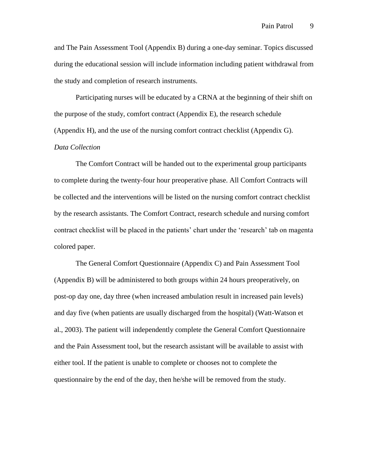and The Pain Assessment Tool (Appendix B) during a one-day seminar. Topics discussed during the educational session will include information including patient withdrawal from the study and completion of research instruments.

Participating nurses will be educated by a CRNA at the beginning of their shift on the purpose of the study, comfort contract (Appendix E), the research schedule (Appendix H), and the use of the nursing comfort contract checklist (Appendix G).

### *Data Collection*

The Comfort Contract will be handed out to the experimental group participants to complete during the twenty-four hour preoperative phase. All Comfort Contracts will be collected and the interventions will be listed on the nursing comfort contract checklist by the research assistants. The Comfort Contract, research schedule and nursing comfort contract checklist will be placed in the patients' chart under the 'research' tab on magenta colored paper.

The General Comfort Questionnaire (Appendix C) and Pain Assessment Tool (Appendix B) will be administered to both groups within 24 hours preoperatively, on post-op day one, day three (when increased ambulation result in increased pain levels) and day five (when patients are usually discharged from the hospital) (Watt-Watson et al., 2003). The patient will independently complete the General Comfort Questionnaire and the Pain Assessment tool, but the research assistant will be available to assist with either tool. If the patient is unable to complete or chooses not to complete the questionnaire by the end of the day, then he/she will be removed from the study.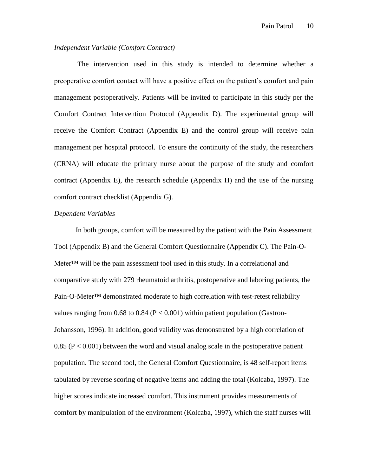### *Independent Variable (Comfort Contract)*

The intervention used in this study is intended to determine whether a preoperative comfort contact will have a positive effect on the patient's comfort and pain management postoperatively. Patients will be invited to participate in this study per the Comfort Contract Intervention Protocol (Appendix D). The experimental group will receive the Comfort Contract (Appendix E) and the control group will receive pain management per hospital protocol. To ensure the continuity of the study, the researchers (CRNA) will educate the primary nurse about the purpose of the study and comfort contract (Appendix E), the research schedule (Appendix H) and the use of the nursing comfort contract checklist (Appendix G).

#### *Dependent Variables*

In both groups, comfort will be measured by the patient with the Pain Assessment Tool (Appendix B) and the General Comfort Questionnaire (Appendix C). The Pain-O-Meter™ will be the pain assessment tool used in this study. In a correlational and comparative study with 279 rheumatoid arthritis, postoperative and laboring patients, the Pain-O-Meter<sup>™</sup> demonstrated moderate to high correlation with test-retest reliability values ranging from 0.68 to 0.84 ( $P < 0.001$ ) within patient population (Gastron-Johansson, 1996). In addition, good validity was demonstrated by a high correlation of 0.85 ( $P < 0.001$ ) between the word and visual analog scale in the postoperative patient population. The second tool, the General Comfort Questionnaire, is 48 self-report items tabulated by reverse scoring of negative items and adding the total (Kolcaba, 1997). The higher scores indicate increased comfort. This instrument provides measurements of comfort by manipulation of the environment (Kolcaba, 1997), which the staff nurses will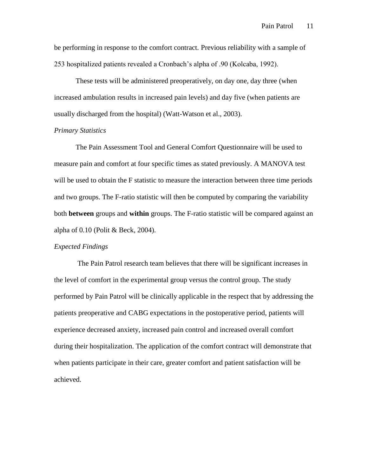be performing in response to the comfort contract. Previous reliability with a sample of 253 hospitalized patients revealed a Cronbach's alpha of .90 (Kolcaba, 1992).

These tests will be administered preoperatively, on day one, day three (when increased ambulation results in increased pain levels) and day five (when patients are usually discharged from the hospital) (Watt-Watson et al., 2003).

### *Primary Statistics*

The Pain Assessment Tool and General Comfort Questionnaire will be used to measure pain and comfort at four specific times as stated previously. A MANOVA test will be used to obtain the F statistic to measure the interaction between three time periods and two groups. The F-ratio statistic will then be computed by comparing the variability both **between** groups and **within** groups. The F-ratio statistic will be compared against an alpha of 0.10 (Polit & Beck, 2004).

### *Expected Findings*

The Pain Patrol research team believes that there will be significant increases in the level of comfort in the experimental group versus the control group. The study performed by Pain Patrol will be clinically applicable in the respect that by addressing the patients preoperative and CABG expectations in the postoperative period, patients will experience decreased anxiety, increased pain control and increased overall comfort during their hospitalization. The application of the comfort contract will demonstrate that when patients participate in their care, greater comfort and patient satisfaction will be achieved.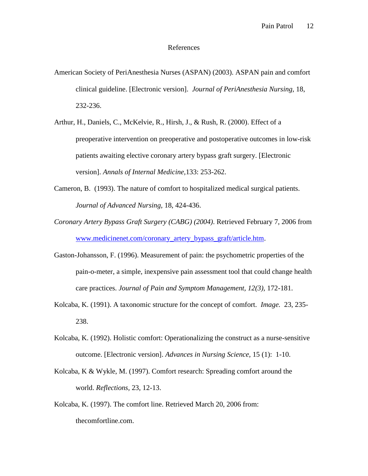### References

- American Society of PeriAnesthesia Nurses (ASPAN) (2003). ASPAN pain and comfort clinical guideline. [Electronic version]. *Journal of PeriAnesthesia Nursing,* 18, 232-236.
- Arthur, H., Daniels, C., McKelvie, R., Hirsh, J., & Rush, R. (2000). Effect of a preoperative intervention on preoperative and postoperative outcomes in low-risk patients awaiting elective coronary artery bypass graft surgery. [Electronic version]. *Annals of Internal Medicine,*133: 253-262.
- Cameron, B. (1993). The nature of comfort to hospitalized medical surgical patients. *Journal of Advanced Nursing,* 18, 424-436.
- *Coronary Artery Bypass Graft Surgery (CABG) (2004)*. Retrieved February 7, 2006 from [www.medicinenet.com/coronary\\_artery\\_bypass\\_graft/article.htm.](http://www.medicinenet.com/coronary_artery_bypass_graft/article.htm)
- Gaston-Johansson, F. (1996). Measurement of pain: the psychometric properties of the pain-o-meter, a simple, inexpensive pain assessment tool that could change health care practices. *Journal of Pain and Symptom Management, 12(3),* 172-181.
- Kolcaba, K. (1991). A taxonomic structure for the concept of comfort. *Image.* 23, 235- 238.
- Kolcaba, K. (1992). Holistic comfort: Operationalizing the construct as a nurse-sensitive outcome. [Electronic version]. *Advances in Nursing Science,* 15 (1): 1-10.
- Kolcaba, K & Wykle, M. (1997). Comfort research: Spreading comfort around the world. *Reflections,* 23, 12-13.
- Kolcaba, K. (1997). The comfort line. Retrieved March 20, 2006 from: thecomfortline.com.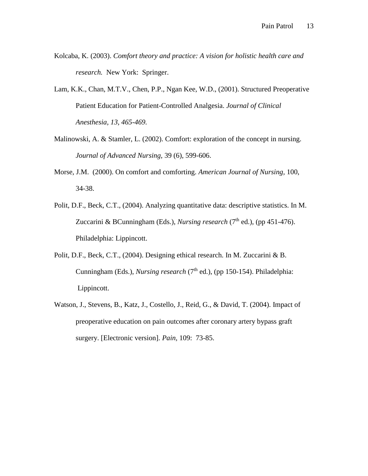- Kolcaba, K. (2003). *Comfort theory and practice: A vision for holistic health care and research.* New York: Springer.
- Lam, K.K., Chan, M.T.V., Chen, P.P., Ngan Kee, W.D., (2001). Structured Preoperative Patient Education for Patient-Controlled Analgesia. *Journal of Clinical Anesthesia, 13, 465-469.*
- Malinowski, A. & Stamler, L. (2002). Comfort: exploration of the concept in nursing. *Journal of Advanced Nursing,* 39 (6), 599-606.
- Morse, J.M. (2000). On comfort and comforting. *American Journal of Nursing,* 100, 34-38.
- Polit, D.F., Beck, C.T., (2004). Analyzing quantitative data: descriptive statistics. In M. Zuccarini & BCunningham (Eds.), *Nursing research* (7<sup>th</sup> ed.), (pp 451-476). Philadelphia: Lippincott.
- Polit, D.F., Beck, C.T., (2004). Designing ethical research. In M. Zuccarini & B. Cunningham (Eds.), *Nursing research* (7<sup>th</sup> ed.), (pp 150-154). Philadelphia: Lippincott.
- Watson, J., Stevens, B., Katz, J., Costello, J., Reid, G., & David, T. (2004). Impact of preoperative education on pain outcomes after coronary artery bypass graft surgery. [Electronic version]. *Pain,* 109: 73-85.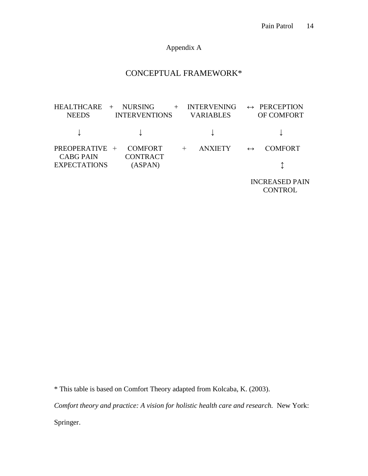Appendix A

# CONCEPTUAL FRAMEWORK\*

HEALTHCARE + NURSING + INTERVENING  $\leftrightarrow$  PERCEPTION NEEDS INTERVENTIONS VARIABLES OF COMFORT ↓ ↓ ↓ ↓ PREOPERATIVE + COMFORT + ANXIETY  $\leftrightarrow$  COMFORT CABG PAIN CONTRACT EXPECTATIONS (ASPAN)  $\updownarrow$ 

 INCREASED PAIN **CONTROL** 

\* This table is based on Comfort Theory adapted from Kolcaba, K. (2003).

*Comfort theory and practice: A vision for holistic health care and research.* New York:

Springer.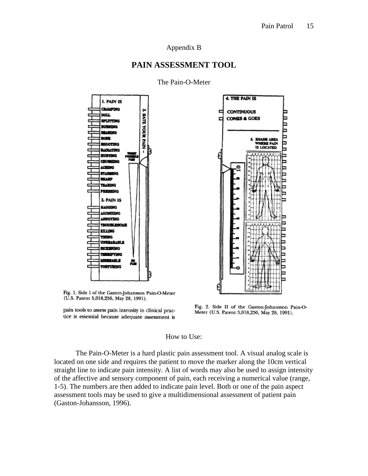### Appendix B

### **PAIN ASSESSMENT TOOL**



The Pain-O-Meter



Fig. 1. Side I of the Gaston-Johansson Pain-O-Meter (U.S. Patent 5,018,256, May 28, 1991).

pain tools to assess pain intensity in clinical practice is essential because adequate assessment is

Fig. 2. Side II of the Gaston-Johansson Pain-O-Meter (U.S. Patent 5,018,256, May 28, 1991).

#### How to Use:

The Pain-O-Meter is a hard plastic pain assessment tool. A visual analog scale is located on one side and requires the patient to move the marker along the 10cm vertical straight line to indicate pain intensity. A list of words may also be used to assign intensity of the affective and sensory component of pain, each receiving a numerical value (range, 1-5). The numbers are then added to indicate pain level. Both or one of the pain aspect assessment tools may be used to give a multidimensional assessment of patient pain (Gaston-Johansson, 1996).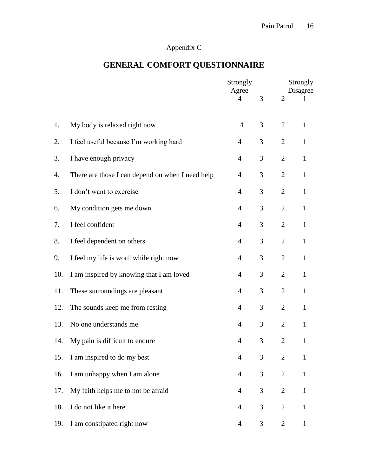# Appendix C

# **GENERAL COMFORT QUESTIONNAIRE**

|     |                                                  | Strongly<br>Agree<br>$\overline{4}$ | 3 | $\overline{2}$ | Strongly<br>Disagree<br>$\mathbf{I}$ |  |
|-----|--------------------------------------------------|-------------------------------------|---|----------------|--------------------------------------|--|
|     |                                                  |                                     |   |                |                                      |  |
| 1.  | My body is relaxed right now                     | $\overline{4}$                      | 3 | $\overline{2}$ | $\mathbf{1}$                         |  |
| 2.  | I feel useful because I'm working hard           | $\overline{4}$                      | 3 | $\overline{2}$ | $\mathbf{1}$                         |  |
| 3.  | I have enough privacy                            | $\overline{4}$                      | 3 | $\mathbf{2}$   | $\mathbf{1}$                         |  |
| 4.  | There are those I can depend on when I need help | $\overline{4}$                      | 3 | $\overline{2}$ | $\mathbf{1}$                         |  |
| 5.  | I don't want to exercise                         | $\overline{4}$                      | 3 | $\overline{2}$ | $\mathbf{1}$                         |  |
| 6.  | My condition gets me down                        | $\overline{4}$                      | 3 | $\overline{2}$ | $\mathbf{1}$                         |  |
| 7.  | I feel confident                                 | $\overline{4}$                      | 3 | $\overline{2}$ | $\mathbf{1}$                         |  |
| 8.  | I feel dependent on others                       | $\overline{4}$                      | 3 | $\overline{2}$ | $\mathbf{1}$                         |  |
| 9.  | I feel my life is worthwhile right now           | $\overline{4}$                      | 3 | $\overline{2}$ | $\mathbf{1}$                         |  |
| 10. | I am inspired by knowing that I am loved         | $\overline{4}$                      | 3 | $\overline{2}$ | $\mathbf{1}$                         |  |
| 11. | These surroundings are pleasant                  | $\overline{4}$                      | 3 | $\overline{2}$ | $\mathbf{1}$                         |  |
| 12. | The sounds keep me from resting                  | $\overline{4}$                      | 3 | $\overline{2}$ | $\mathbf{1}$                         |  |
| 13. | No one understands me                            | $\overline{4}$                      | 3 | $\overline{2}$ | $\mathbf{1}$                         |  |
| 14. | My pain is difficult to endure                   | $\overline{4}$                      | 3 | $\overline{2}$ | $\mathbf{1}$                         |  |
| 15. | I am inspired to do my best                      | $\overline{4}$                      | 3 | $\mathbf{2}$   | $\mathbf{1}$                         |  |
| 16. | I am unhappy when I am alone                     | $\overline{4}$                      | 3 | $\overline{2}$ | $\mathbf{1}$                         |  |
| 17. | My faith helps me to not be afraid               | $\overline{4}$                      | 3 | $\overline{2}$ | $\mathbf{1}$                         |  |
| 18. | I do not like it here                            | $\overline{4}$                      | 3 | $\mathbf{2}$   | $\mathbf{1}$                         |  |
| 19. | I am constipated right now                       | $\overline{4}$                      | 3 | $\overline{2}$ | $\mathbf{1}$                         |  |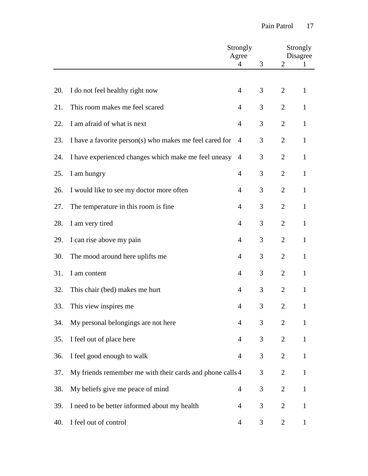|     |                                                           | Strongly<br>Agree |   |                | Strongly<br>Disagree |  |  |
|-----|-----------------------------------------------------------|-------------------|---|----------------|----------------------|--|--|
|     |                                                           | $\overline{4}$    | 3 | $\overline{2}$ | 1                    |  |  |
| 20. | I do not feel healthy right now                           | $\overline{4}$    | 3 | $\overline{2}$ | 1                    |  |  |
| 21. | This room makes me feel scared                            | $\overline{4}$    | 3 | $\overline{2}$ | $\mathbf{1}$         |  |  |
| 22. | I am afraid of what is next                               | 4                 | 3 | $\overline{2}$ | $\mathbf{1}$         |  |  |
| 23. | I have a favorite person(s) who makes me feel cared for   | 4                 | 3 | $\overline{2}$ | $\mathbf{1}$         |  |  |
| 24. | I have experienced changes which make me feel uneasy      | 4                 | 3 | $\overline{2}$ | $\mathbf{1}$         |  |  |
| 25. | I am hungry                                               | $\overline{4}$    | 3 | $\overline{2}$ | $\mathbf{1}$         |  |  |
| 26. | I would like to see my doctor more often                  | 4                 | 3 | $\overline{2}$ | 1                    |  |  |
| 27. | The temperature in this room is fine                      | $\overline{4}$    | 3 | $\overline{2}$ | 1                    |  |  |
| 28. | I am very tired                                           | 4                 | 3 | $\overline{2}$ | $\mathbf{1}$         |  |  |
| 29. | I can rise above my pain                                  | 4                 | 3 | $\overline{2}$ | $\mathbf{1}$         |  |  |
| 30. | The mood around here uplifts me                           | $\overline{4}$    | 3 | $\overline{2}$ | 1                    |  |  |
| 31. | I am content                                              | $\overline{4}$    | 3 | $\overline{2}$ | $\mathbf{1}$         |  |  |
| 32. | This chair (bed) makes me hurt                            | 4                 | 3 | $\overline{2}$ | 1                    |  |  |
| 33. | This view inspires me                                     | 4                 | 3 | $\overline{2}$ | 1                    |  |  |
| 34. | My personal belongings are not here                       | 4                 | 3 | $\overline{2}$ | 1                    |  |  |
| 35. | I feel out of place here                                  | $\overline{4}$    | 3 | $\overline{2}$ | 1                    |  |  |
| 36. | I feel good enough to walk                                | 4                 | 3 | $\overline{2}$ | $\mathbf{1}$         |  |  |
| 37. | My friends remember me with their cards and phone calls 4 |                   | 3 | $\mathbf{2}$   | $\mathbf{1}$         |  |  |
| 38. | My beliefs give me peace of mind                          | $\overline{4}$    | 3 | $\mathfrak{2}$ | $\mathbf{1}$         |  |  |
| 39. | I need to be better informed about my health              | $\overline{4}$    | 3 | $\overline{2}$ | 1                    |  |  |
| 40. | I feel out of control                                     | 4                 | 3 | $\overline{2}$ |                      |  |  |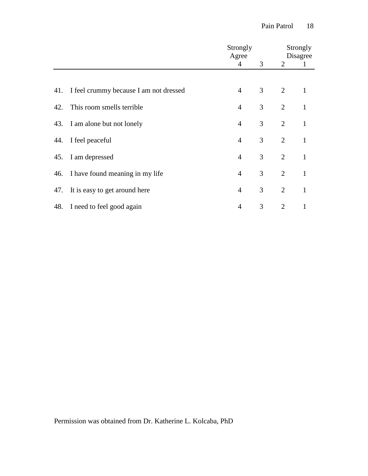|     |                                            | Strongly<br>Agree |                | Strongly<br>Disagree |              |  |
|-----|--------------------------------------------|-------------------|----------------|----------------------|--------------|--|
|     |                                            | $\overline{4}$    | 3 <sup>7</sup> | $\overline{2}$       | $\mathbf{1}$ |  |
|     |                                            |                   |                |                      |              |  |
|     | 41. I feel crummy because I am not dressed | $\overline{4}$    | $\mathfrak{Z}$ | $\overline{2}$       | 1            |  |
|     | 42. This room smells terrible              | $\overline{4}$    | 3              | 2                    | $\mathbf{1}$ |  |
|     | 43. I am alone but not lonely              | $\overline{4}$    | 3              | $\overline{2}$       | $\mathbf{1}$ |  |
|     | 44. I feel peaceful                        | $\overline{4}$    | 3              | 2                    | $\mathbf{1}$ |  |
| 45. | I am depressed                             | $\overline{4}$    | 3              | 2                    | $\mathbf{1}$ |  |
|     | 46. I have found meaning in my life        | $\overline{4}$    | 3              | $\overline{2}$       | $\mathbf{1}$ |  |
| 47. | It is easy to get around here              | $\overline{4}$    | 3              | 2                    | $\mathbf{1}$ |  |
|     | 48. I need to feel good again              | $\overline{4}$    | 3              | $\overline{2}$       |              |  |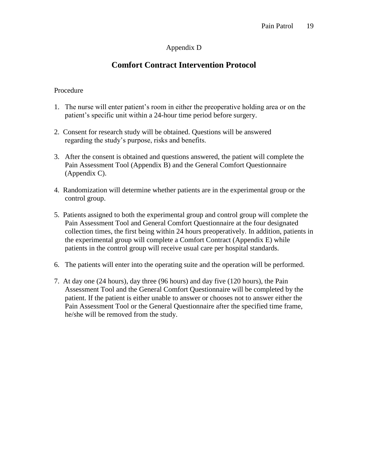# Appendix D

# **Comfort Contract Intervention Protocol**

### Procedure

- 1. The nurse will enter patient's room in either the preoperative holding area or on the patient's specific unit within a 24-hour time period before surgery.
- 2. Consent for research study will be obtained. Questions will be answered regarding the study's purpose, risks and benefits.
- 3. After the consent is obtained and questions answered, the patient will complete the Pain Assessment Tool (Appendix B) and the General Comfort Questionnaire (Appendix C).
- 4. Randomization will determine whether patients are in the experimental group or the control group.
- 5. Patients assigned to both the experimental group and control group will complete the Pain Assessment Tool and General Comfort Questionnaire at the four designated collection times, the first being within 24 hours preoperatively. In addition, patients in the experimental group will complete a Comfort Contract (Appendix E) while patients in the control group will receive usual care per hospital standards.
- 6. The patients will enter into the operating suite and the operation will be performed.
- 7. At day one (24 hours), day three (96 hours) and day five (120 hours), the Pain Assessment Tool and the General Comfort Questionnaire will be completed by the patient. If the patient is either unable to answer or chooses not to answer either the Pain Assessment Tool or the General Questionnaire after the specified time frame, he/she will be removed from the study.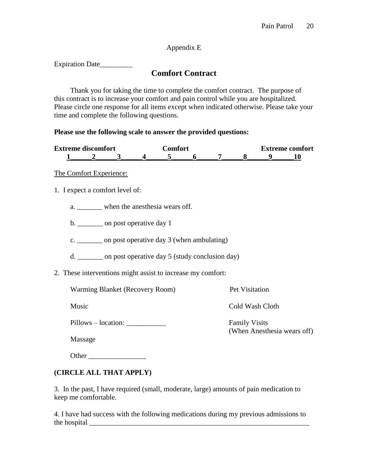## Appendix E

Expiration Date

# **Comfort Contract**

Thank you for taking the time to complete the comfort contract. The purpose of this contract is to increase your comfort and pain control while you are hospitalized. Please circle one response for all items except when indicated otherwise. Please take your time and complete the following questions.

### **Please use the following scale to answer the provided questions:**

| <b>Extreme discomfort</b> |  |  | `omfort |  |  |  | <b>Extreme comfort</b> |  |  |  |  |
|---------------------------|--|--|---------|--|--|--|------------------------|--|--|--|--|
|                           |  |  |         |  |  |  |                        |  |  |  |  |

## The Comfort Experience:

1. I expect a comfort level of:

a. \_\_\_\_\_\_\_\_\_ when the anesthesia wears off.

b. \_\_\_\_\_\_\_ on post operative day 1

c. \_\_\_\_\_\_\_ on post operative day 3 (when ambulating)

d. \_\_\_\_\_\_\_ on post operative day 5 (study conclusion day)

2. These interventions might assist to increase my comfort:

Warming Blanket (Recovery Room) Pet Visitation

Music **Cold Wash Cloth** 

(When Anesthesia wears off)

Pillows – location: \_\_\_\_\_\_\_\_\_\_\_ Family Visits

Massage

Other \_\_\_\_\_\_\_\_\_\_\_\_\_\_\_\_

## **(CIRCLE ALL THAT APPLY)**

3. In the past, I have required (small, moderate, large) amounts of pain medication to keep me comfortable.

4. I have had success with the following medications during my previous admissions to the hospital  $\Box$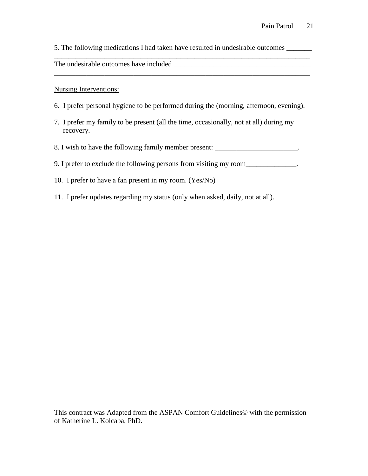5. The following medications I had taken have resulted in undesirable outcomes \_\_\_\_\_\_\_

\_\_\_\_\_\_\_\_\_\_\_\_\_\_\_\_\_\_\_\_\_\_\_\_\_\_\_\_\_\_\_\_\_\_\_\_\_\_\_\_\_\_\_\_\_\_\_\_\_\_\_\_\_\_\_\_\_\_\_\_\_\_\_\_\_\_\_\_\_\_\_

The undesirable outcomes have included \_\_\_\_\_\_\_\_\_\_\_\_\_\_\_\_\_\_\_\_\_\_\_\_\_\_\_\_\_\_\_\_\_\_\_\_\_\_

Nursing Interventions:

- 6. I prefer personal hygiene to be performed during the (morning, afternoon, evening).
- 7. I prefer my family to be present (all the time, occasionally, not at all) during my recovery.
- 8. I wish to have the following family member present: \_\_\_\_\_\_\_\_\_\_\_\_\_\_\_\_\_\_\_\_\_\_\_.
- 9. I prefer to exclude the following persons from visiting my room\_\_\_\_\_\_\_\_\_\_\_\_\_.
- 10. I prefer to have a fan present in my room. (Yes/No)
- 11. I prefer updates regarding my status (only when asked, daily, not at all).

This contract was Adapted from the ASPAN Comfort Guidelines© with the permission of Katherine L. Kolcaba, PhD.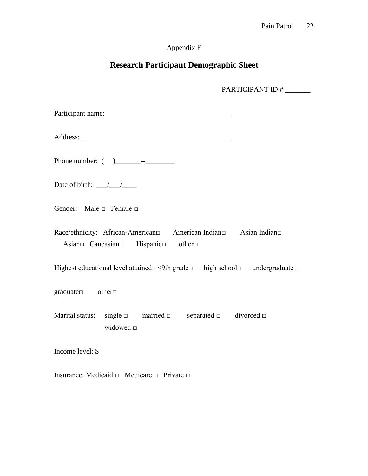# Appendix F

# **Research Participant Demographic Sheet**

PARTICIPANT ID #

Participant name: \_\_\_\_\_\_\_\_\_\_\_\_\_\_\_\_\_\_\_\_\_\_\_\_\_\_\_\_\_\_\_\_\_\_\_

Address: \_\_\_\_\_\_\_\_\_\_\_\_\_\_\_\_\_\_\_\_\_\_\_\_\_\_\_\_\_\_\_\_\_\_\_\_\_\_\_\_\_\_

Phone number: ( )\_\_\_\_\_\_\_--\_\_\_\_\_\_\_\_

Date of birth:  $\frac{\sqrt{2}}{2}$ 

Gender: Male □ Female □

Race/ethnicity: African-American□ American Indian□ Asian Indian□ Asian□ Caucasian□ Hispanic□ other□

Highest educational level attained: <9th grade□ high school□ undergraduate □

graduate□ other□

Marital status: single  $\Box$  married  $\Box$  separated  $\Box$  divorced  $\Box$ widowed □

Income level: \$\_\_\_\_\_\_\_\_\_

Insurance: Medicaid  $\Box$  Medicare  $\Box$  Private  $\Box$